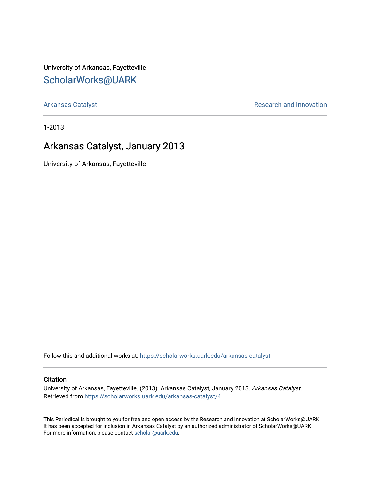University of Arkansas, Fayetteville [ScholarWorks@UARK](https://scholarworks.uark.edu/) 

[Arkansas Catalyst](https://scholarworks.uark.edu/arkansas-catalyst) **Research and Innovation** 

1-2013

## Arkansas Catalyst, January 2013

University of Arkansas, Fayetteville

Follow this and additional works at: [https://scholarworks.uark.edu/arkansas-catalyst](https://scholarworks.uark.edu/arkansas-catalyst?utm_source=scholarworks.uark.edu%2Farkansas-catalyst%2F4&utm_medium=PDF&utm_campaign=PDFCoverPages) 

### **Citation**

University of Arkansas, Fayetteville. (2013). Arkansas Catalyst, January 2013. Arkansas Catalyst. Retrieved from [https://scholarworks.uark.edu/arkansas-catalyst/4](https://scholarworks.uark.edu/arkansas-catalyst/4?utm_source=scholarworks.uark.edu%2Farkansas-catalyst%2F4&utm_medium=PDF&utm_campaign=PDFCoverPages) 

This Periodical is brought to you for free and open access by the Research and Innovation at ScholarWorks@UARK. It has been accepted for inclusion in Arkansas Catalyst by an authorized administrator of ScholarWorks@UARK. For more information, please contact [scholar@uark.edu](mailto:scholar@uark.edu).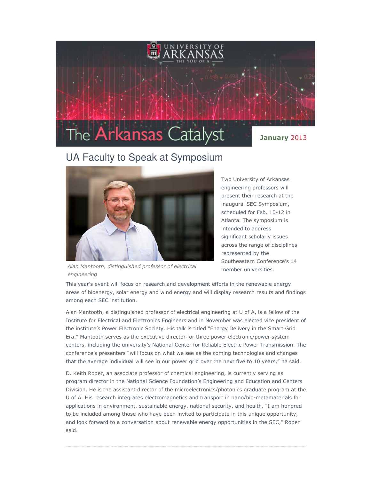

## UA Faculty to Speak at Symposium



Alan Mantooth, distinguished professor of electrical engineering

Two University of Arkansas engineering professors will present their research at the inaugural SEC Symposium, scheduled for Feb. 10-12 in Atlanta. The symposium is intended to address significant scholarly issues across the range of disciplines represented by the Southeastern Conference's 14 member universities.

This year's event will focus on research and development efforts in the renewable energy areas of bioenergy, solar energy and wind energy and will display research results and findings among each SEC institution.

Alan Mantooth, a distinguished professor of electrical engineering at U of A, is a fellow of the Institute for Electrical and Electronics Engineers and in November was elected vice president of the institute's Power Electronic Society. His talk is titled "Energy Delivery in the Smart Grid Era." Mantooth serves as the executive director for three power electronic/power system centers, including the university's National Center for Reliable Electric Power Transmission. The conference's presenters "will focus on what we see as the coming technologies and changes that the average individual will see in our power grid over the next five to 10 years," he said.

D. Keith Roper, an associate professor of chemical engineering, is currently serving as program director in the National Science Foundation's Engineering and Education and Centers Division. He is the assistant director of the microelectronics/photonics graduate program at the U of A. His research integrates electromagnetics and transport in nano/bio-metamaterials for applications in environment, sustainable energy, national security, and health. "I am honored to be included among those who have been invited to participate in this unique opportunity, and look forward to a conversation about renewable energy opportunities in the SEC," Roper said.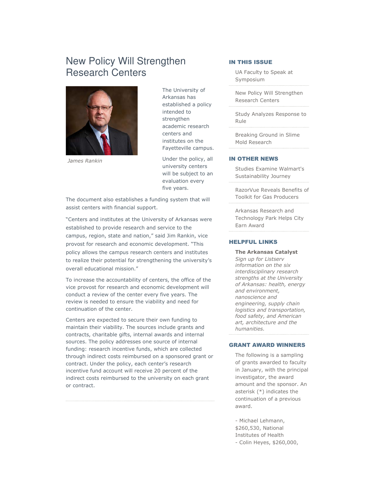## New Policy Will Strengthen Research Centers



James Rankin

The University of Arkansas has established a policy intended to strengthen academic research centers and institutes on the Fayetteville campus.

Under the policy, all university centers will be subject to an evaluation every five years.

The document also establishes a funding system that will assist centers with financial support.

"Centers and institutes at the University of Arkansas were established to provide research and service to the campus, region, state and nation," said Jim Rankin, vice provost for research and economic development. "This policy allows the campus research centers and institutes to realize their potential for strengthening the university's overall educational mission."

To increase the accountability of centers, the office of the vice provost for research and economic development will conduct a review of the center every five years. The review is needed to ensure the viability and need for continuation of the center.

Centers are expected to secure their own funding to maintain their viability. The sources include grants and contracts, charitable gifts, internal awards and internal sources. The policy addresses one source of internal funding: research incentive funds, which are collected through indirect costs reimbursed on a sponsored grant or contract. Under the policy, each center's research incentive fund account will receive 20 percent of the indirect costs reimbursed to the university on each grant or contract.

#### IN THIS ISSUE

UA Faculty to Speak at Symposium

New Policy Will Strengthen Research Centers

Study Analyzes Response to Rule

Breaking Ground in Slime Mold Research

#### IN OTHER NEWS

Studies Examine Walmart's Sustainability Journey

RazorVue Reveals Benefits of Toolkit for Gas Producers

Arkansas Research and Technology Park Helps City Earn Award

#### HELPFUL LINKS

The Arkansas Catalyst Sign up for Listserv information on the six interdisciplinary research strengths at the University of Arkansas: health, energy and environment, nanoscience and engineering, supply chain logistics and transportation, food safety, and American art, architecture and the humanities.

#### GRANT AWARD WINNERS

The following is a sampling of grants awarded to faculty in January, with the principal investigator, the award amount and the sponsor. An asterisk (\*) indicates the continuation of a previous award.

- Michael Lehmann, \$260,530, National Institutes of Health - Colin Heyes, \$260,000,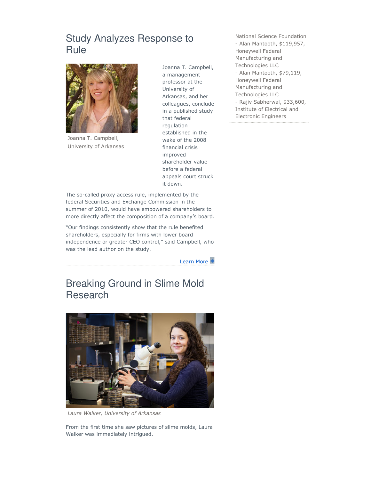## Study Analyzes Response to Rule



Joanna T. Campbell, University of Arkansas

Joanna T. Campbell, a management professor at the University of Arkansas, and her colleagues, conclude in a published study that federal regulation established in the wake of the 2008 financial crisis improved shareholder value before a federal appeals court struck it down.

The so-called proxy access rule, implemented by the federal Securities and Exchange Commission in the summer of 2010, would have empowered shareholders to more directly affect the composition of a company's board.

"Our findings consistently show that the rule benefited shareholders, especially for firms with lower board independence or greater CEO control," said Campbell, who was the lead author on the study.

Learn More

# Breaking Ground in Slime Mold Research



Laura Walker, University of Arkansas

From the first time she saw pictures of slime molds, Laura Walker was immediately intrigued.

National Science Foundation - Alan Mantooth, \$119,957, Honeywell Federal Manufacturing and Technologies LLC - Alan Mantooth, \$79,119, Honeywell Federal Manufacturing and Technologies LLC - Rajiv Sabherwal, \$33,600, Institute of Electrical and Electronic Engineers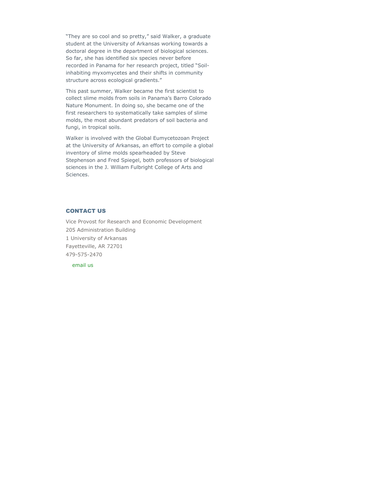"They are so cool and so pretty," said Walker, a graduate student at the University of Arkansas working towards a doctoral degree in the department of biological sciences. So far, she has identified six species never before recorded in Panama for her research project, titled "Soilinhabiting myxomycetes and their shifts in community structure across ecological gradients."

This past summer, Walker became the first scientist to collect slime molds from soils in Panama's Barro Colorado Nature Monument. In doing so, she became one of the first researchers to systematically take samples of slime molds, the most abundant predators of soil bacteria and fungi, in tropical soils.

Walker is involved with the Global Eumycetozoan Project at the University of Arkansas, an effort to compile a global inventory of slime molds spearheaded by Steve Stephenson and Fred Spiegel, both professors of biological sciences in the J. William Fulbright College of Arts and Sciences.

#### CONTACT US

Vice Provost for Research and Economic Development 205 Administration Building 1 University of Arkansas Fayetteville, AR 72701 479-575-2470

email us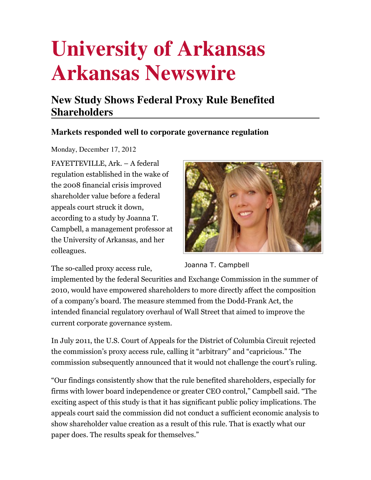# **University of Arkansas Arkansas Newswire**

# **New Study Shows Federal Proxy Rule Benefited Shareholders**

## **Markets responded well to corporate governance regulation**

Monday, December 17, 2012

FAYETTEVILLE, Ark. – A federal regulation established in the wake of the 2008 financial crisis improved shareholder value before a federal appeals court struck it down, according to a study by Joanna T. Campbell, a management professor at the University of Arkansas, and her colleagues.

The so-called proxy access rule,



Joanna T. Campbell

implemented by the federal Securities and Exchange Commission in the summer of 2010, would have empowered shareholders to more directly affect the composition of a company's board. The measure stemmed from the Dodd-Frank Act, the intended financial regulatory overhaul of Wall Street that aimed to improve the current corporate governance system.

In July 2011, the U.S. Court of Appeals for the District of Columbia Circuit rejected the commission's proxy access rule, calling it "arbitrary" and "capricious." The commission subsequently announced that it would not challenge the court's ruling.

"Our findings consistently show that the rule benefited shareholders, especially for firms with lower board independence or greater CEO control," Campbell said. "The exciting aspect of this study is that it has significant public policy implications. The appeals court said the commission did not conduct a sufficient economic analysis to show shareholder value creation as a result of this rule. That is exactly what our paper does. The results speak for themselves."